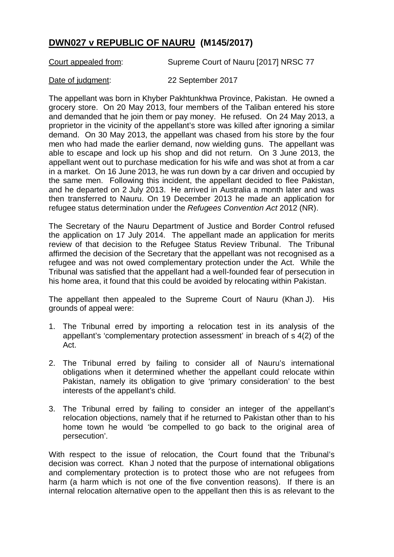## **DWN027 v REPUBLIC OF NAURU (M145/2017)**

Court appealed from: Supreme Court of Nauru [2017] NRSC 77

Date of judgment: 22 September 2017

The appellant was born in Khyber Pakhtunkhwa Province, Pakistan. He owned a grocery store. On 20 May 2013, four members of the Taliban entered his store and demanded that he join them or pay money. He refused. On 24 May 2013, a proprietor in the vicinity of the appellant's store was killed after ignoring a similar demand. On 30 May 2013, the appellant was chased from his store by the four men who had made the earlier demand, now wielding guns. The appellant was able to escape and lock up his shop and did not return. On 3 June 2013, the appellant went out to purchase medication for his wife and was shot at from a car in a market. On 16 June 2013, he was run down by a car driven and occupied by the same men. Following this incident, the appellant decided to flee Pakistan, and he departed on 2 July 2013. He arrived in Australia a month later and was then transferred to Nauru. On 19 December 2013 he made an application for refugee status determination under the *Refugees Convention Act* 2012 (NR).

The Secretary of the Nauru Department of Justice and Border Control refused the application on 17 July 2014. The appellant made an application for merits review of that decision to the Refugee Status Review Tribunal. The Tribunal affirmed the decision of the Secretary that the appellant was not recognised as a refugee and was not owed complementary protection under the Act. While the Tribunal was satisfied that the appellant had a well-founded fear of persecution in his home area, it found that this could be avoided by relocating within Pakistan.

The appellant then appealed to the Supreme Court of Nauru (Khan J). His grounds of appeal were:

- 1. The Tribunal erred by importing a relocation test in its analysis of the appellant's 'complementary protection assessment' in breach of s 4(2) of the Act.
- 2. The Tribunal erred by failing to consider all of Nauru's international obligations when it determined whether the appellant could relocate within Pakistan, namely its obligation to give 'primary consideration' to the best interests of the appellant's child.
- 3. The Tribunal erred by failing to consider an integer of the appellant's relocation objections, namely that if he returned to Pakistan other than to his home town he would 'be compelled to go back to the original area of persecution'.

With respect to the issue of relocation, the Court found that the Tribunal's decision was correct. Khan J noted that the purpose of international obligations and complementary protection is to protect those who are not refugees from harm (a harm which is not one of the five convention reasons). If there is an internal relocation alternative open to the appellant then this is as relevant to the